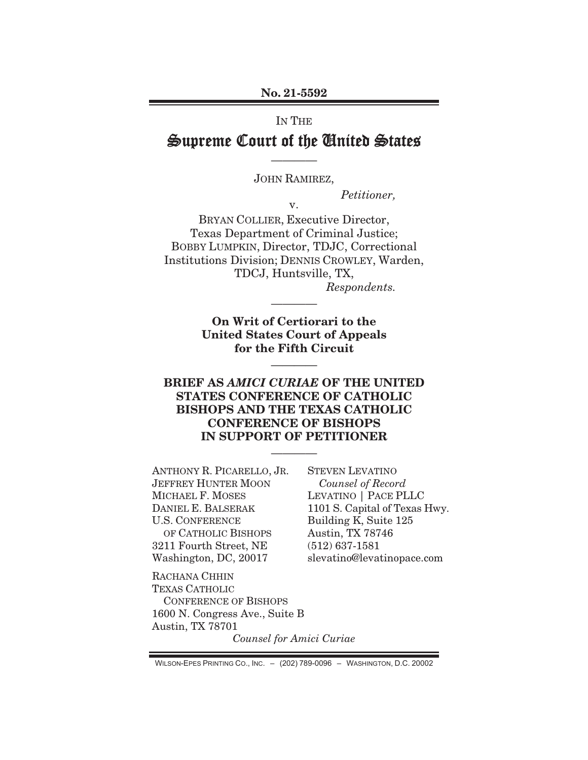#### No. 21-5592

# IN THE Supreme Court of the United States

JOHN RAMIREZ,

————

Petitioner,

v.

BRYAN COLLIER, Executive Director, Texas Department of Criminal Justice; BOBBY LUMPKIN, Director, TDJC, Correctional Institutions Division; DENNIS CROWLEY, Warden, TDCJ, Huntsville, TX, Respondents.

> On Writ of Certiorari to the United States Court of Appeals for the Fifth Circuit

> > **²²²²**

————

## BRIEF AS AMICI CURIAE OF THE UNITED STATES CONFERENCE OF CATHOLIC BISHOPS AND THE TEXAS CATHOLIC CONFERENCE OF BISHOPS IN SUPPORT OF PETITIONER

————

ANTHONY R. PICARELLO, JR. JEFFREY HUNTER MOON MICHAEL F. MOSES DANIEL E. BALSERAK U.S. CONFERENCE OF CATHOLIC BISHOPS 3211 Fourth Street, NE Washington, DC, 20017

STEVEN LEVATINO Counsel of Record LEVATINO | PACE PLLC 1101 S. Capital of Texas Hwy. Building K, Suite 125 Austin, TX 78746 (512) 637-1581 slevatino@levatinopace.com

RACHANA CHHIN TEXAS CATHOLIC CONFERENCE OF BISHOPS 1600 N. Congress Ave., Suite B Austin, TX 78701

Counsel for Amici Curiae

WILSON-EPES PRINTING CO., INC. - (202) 789-0096 - WASHINGTON, D.C. 20002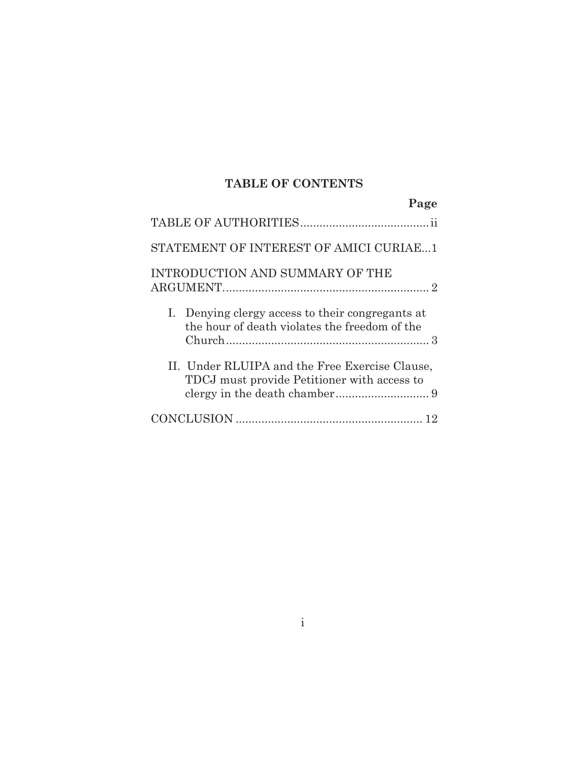## **TABLE OF CONTENTS**

| Page                                                                                              |
|---------------------------------------------------------------------------------------------------|
|                                                                                                   |
| STATEMENT OF INTEREST OF AMICI CURIAE1                                                            |
| INTRODUCTION AND SUMMARY OF THE                                                                   |
| I. Denying clergy access to their congregants at<br>the hour of death violates the freedom of the |
| II. Under RLUIPA and the Free Exercise Clause,<br>TDCJ must provide Petitioner with access to     |
|                                                                                                   |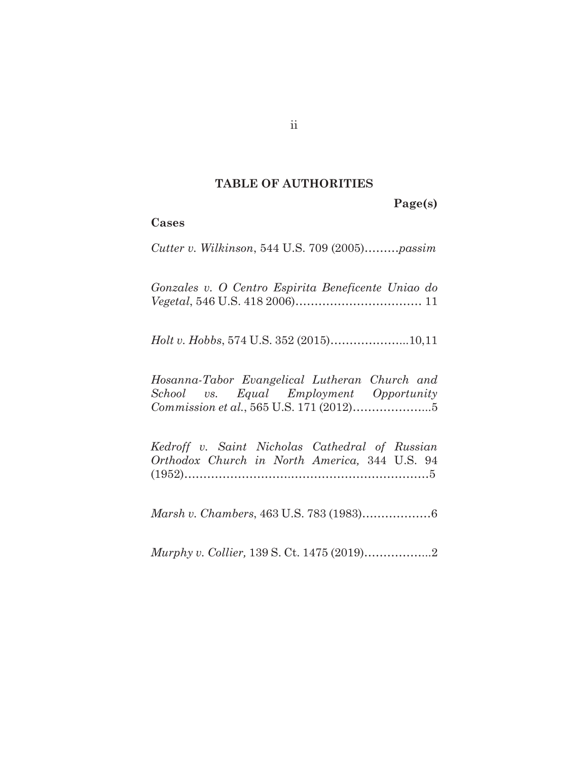#### **TABLE OF AUTHORITIES**

**Page(s)** 

#### **Cases**

*Cutter v. Wilkinson*, 544 U.S. 709 (2005)………*passim* 

*Gonzales v. O Centro Espirita Beneficente Uniao do Vegetal*, 546 U.S. 418 2006)…………………………… 11

*Holt v. Hobbs*, 574 U.S. 352 (2015)………………...10,11

*Hosanna-Tabor Evangelical Lutheran Church and School vs. Equal Employment Opportunity Commission et al.*, 565 U.S. 171 (2012)………………...5

*Kedroff v. Saint Nicholas Cathedral of Russian Orthodox Church in North America,* 344 U.S. 94 (1952)……………………….………………………………5

*Marsh v. Chambers*, 463 U.S. 783 (1983)………………6

*Murphy v. Collier,* 139 S. Ct. 1475 (2019)……………...2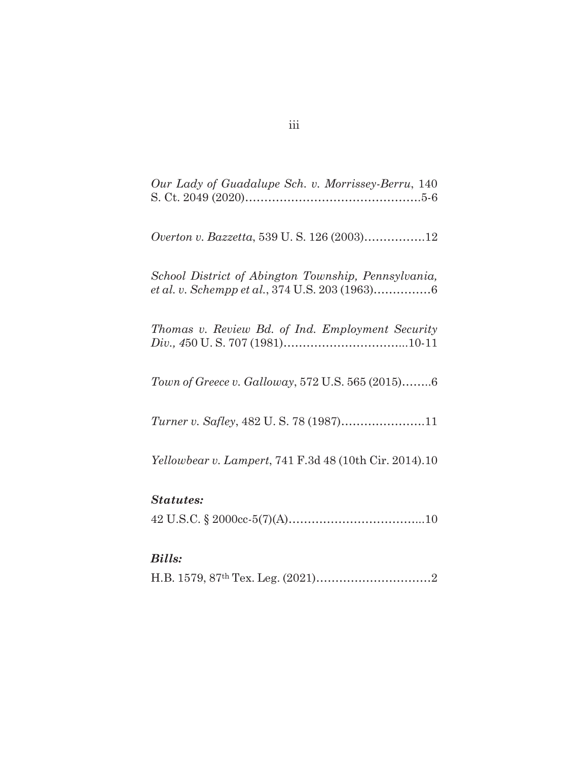| Our Lady of Guadalupe Sch. v. Morrissey-Berru, 140            |
|---------------------------------------------------------------|
| Overton v. Bazzetta, 539 U.S. 126 (2003)12                    |
| School District of Abington Township, Pennsylvania,           |
| Thomas v. Review Bd. of Ind. Employment Security              |
| Town of Greece v. Galloway, 572 U.S. 565 (2015)6              |
|                                                               |
| <i>Yellowbear v. Lampert, 741 F.3d 48 (10th Cir. 2014).10</i> |
| <b>Statutes:</b>                                              |
|                                                               |
| <b>Bills:</b>                                                 |
|                                                               |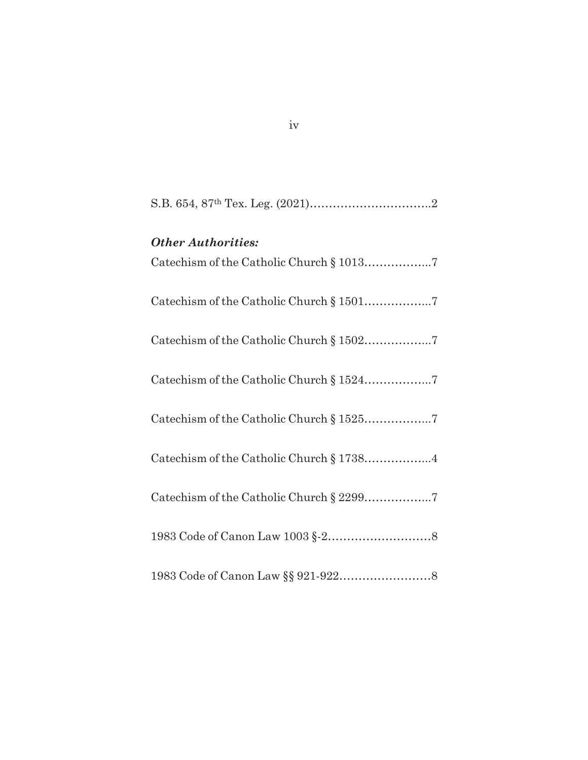| <b>Other Authorities:</b><br>Catechism of the Catholic Church § 10137 |
|-----------------------------------------------------------------------|
| Catechism of the Catholic Church § 15017                              |
| Catechism of the Catholic Church § 15027                              |
|                                                                       |
| Catechism of the Catholic Church § 15257                              |
| Catechism of the Catholic Church § 17384                              |
| Catechism of the Catholic Church § 22997                              |
|                                                                       |
|                                                                       |

iv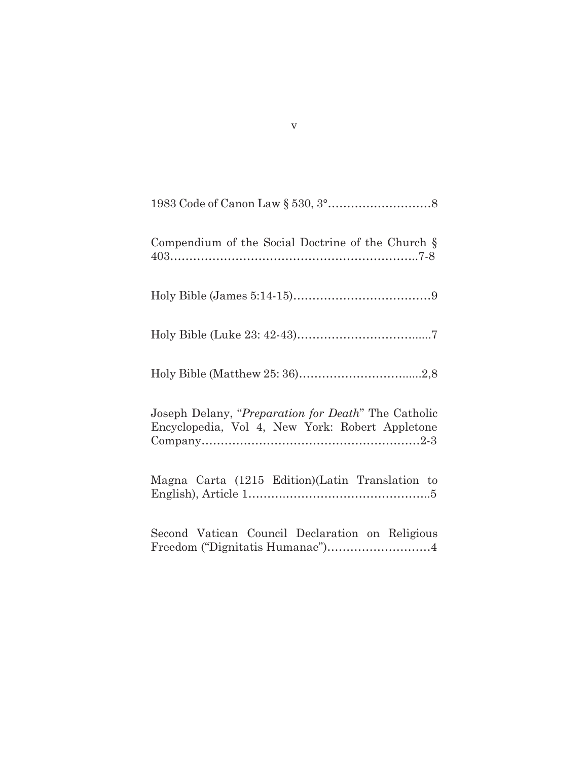| Compendium of the Social Doctrine of the Church §                                                      |
|--------------------------------------------------------------------------------------------------------|
|                                                                                                        |
|                                                                                                        |
|                                                                                                        |
| Joseph Delany, "Preparation for Death" The Catholic<br>Encyclopedia, Vol 4, New York: Robert Appletone |
| Magna Carta (1215 Edition)(Latin Translation to                                                        |
| Second Vatican Council Declaration on Religious<br>Freedom ("Dignitatis Humanae")4                     |

v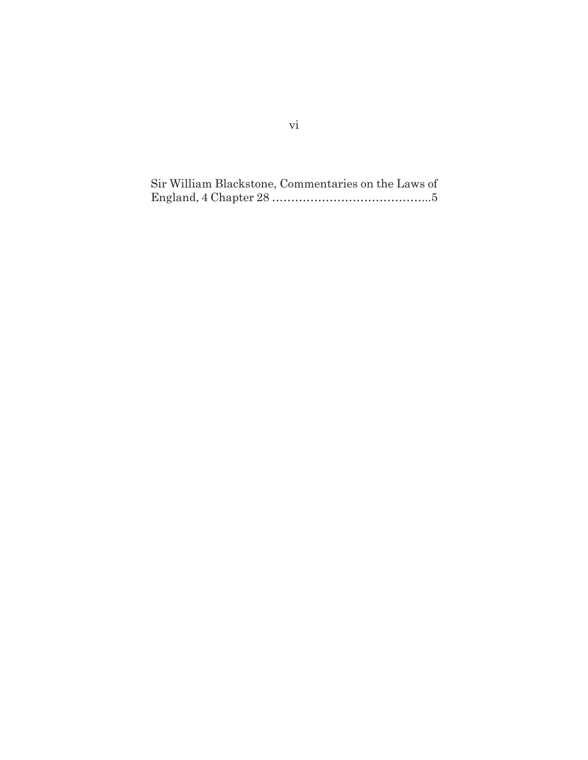Sir William Blackstone, Commentaries on the Laws of England, 4 Chapter 28 …………………………………...5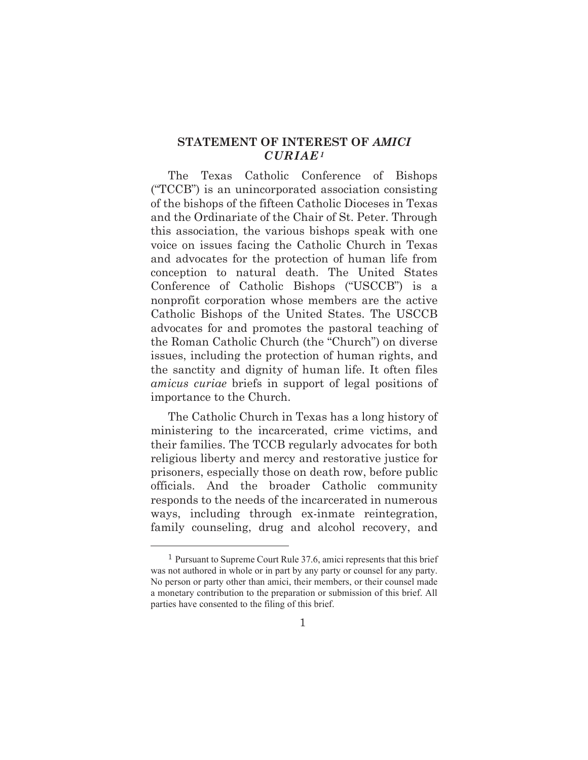## **STATEMENT OF INTEREST OF** *AMICI CURIAE1*

The Texas Catholic Conference of Bishops ("TCCB") is an unincorporated association consisting of the bishops of the fifteen Catholic Dioceses in Texas and the Ordinariate of the Chair of St. Peter. Through this association, the various bishops speak with one voice on issues facing the Catholic Church in Texas and advocates for the protection of human life from conception to natural death. The United States Conference of Catholic Bishops ("USCCB") is a nonprofit corporation whose members are the active Catholic Bishops of the United States. The USCCB advocates for and promotes the pastoral teaching of the Roman Catholic Church (the "Church") on diverse issues, including the protection of human rights, and the sanctity and dignity of human life. It often files *amicus curiae* briefs in support of legal positions of importance to the Church.

The Catholic Church in Texas has a long history of ministering to the incarcerated, crime victims, and their families. The TCCB regularly advocates for both religious liberty and mercy and restorative justice for prisoners, especially those on death row, before public officials. And the broader Catholic community responds to the needs of the incarcerated in numerous ways, including through ex-inmate reintegration, family counseling, drug and alcohol recovery, and

 $1$  Pursuant to Supreme Court Rule 37.6, amici represents that this brief was not authored in whole or in part by any party or counsel for any party. No person or party other than amici, their members, or their counsel made a monetary contribution to the preparation or submission of this brief. All parties have consented to the filing of this brief.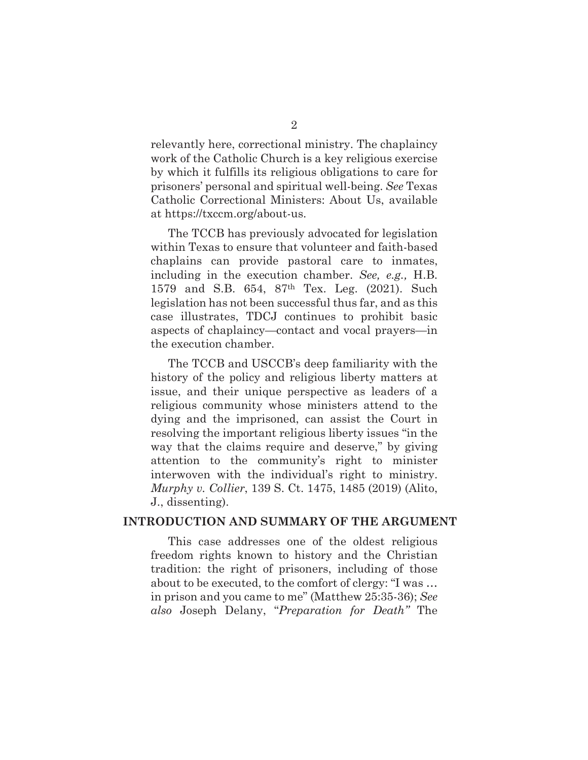relevantly here, correctional ministry. The chaplaincy work of the Catholic Church is a key religious exercise by which it fulfills its religious obligations to care for prisoners' personal and spiritual well-being. *See* Texas Catholic Correctional Ministers: About Us, available at https://txccm.org/about-us.

The TCCB has previously advocated for legislation within Texas to ensure that volunteer and faith-based chaplains can provide pastoral care to inmates, including in the execution chamber. *See, e.g.,* H.B. 1579 and S.B. 654, 87th Tex. Leg. (2021). Such legislation has not been successful thus far, and as this case illustrates, TDCJ continues to prohibit basic aspects of chaplaincy—contact and vocal prayers—in the execution chamber.

The TCCB and USCCB's deep familiarity with the history of the policy and religious liberty matters at issue, and their unique perspective as leaders of a religious community whose ministers attend to the dying and the imprisoned, can assist the Court in resolving the important religious liberty issues "in the way that the claims require and deserve," by giving attention to the community's right to minister interwoven with the individual's right to ministry. *Murphy v. Collier*, 139 S. Ct. 1475, 1485 (2019) (Alito, J., dissenting).

## **INTRODUCTION AND SUMMARY OF THE ARGUMENT**

This case addresses one of the oldest religious freedom rights known to history and the Christian tradition: the right of prisoners, including of those about to be executed, to the comfort of clergy: "I was … in prison and you came to me" (Matthew 25:35-36); *See also* Joseph Delany, "*Preparation for Death"* The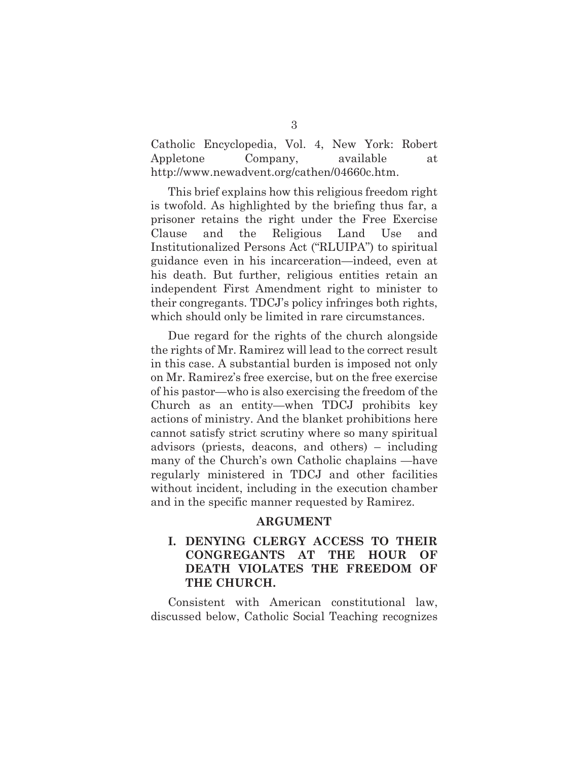Catholic Encyclopedia, Vol. 4, New York: Robert Appletone Company, available at http://www.newadvent.org/cathen/04660c.htm.

This brief explains how this religious freedom right is twofold. As highlighted by the briefing thus far, a prisoner retains the right under the Free Exercise Clause and the Religious Land Use and Institutionalized Persons Act ("RLUIPA") to spiritual guidance even in his incarceration—indeed, even at his death. But further, religious entities retain an independent First Amendment right to minister to their congregants. TDCJ's policy infringes both rights, which should only be limited in rare circumstances.

Due regard for the rights of the church alongside the rights of Mr. Ramirez will lead to the correct result in this case. A substantial burden is imposed not only on Mr. Ramirez's free exercise, but on the free exercise of his pastor—who is also exercising the freedom of the Church as an entity—when TDCJ prohibits key actions of ministry. And the blanket prohibitions here cannot satisfy strict scrutiny where so many spiritual advisors (priests, deacons, and others) – including many of the Church's own Catholic chaplains —have regularly ministered in TDCJ and other facilities without incident, including in the execution chamber and in the specific manner requested by Ramirez.

#### **ARGUMENT**

## **I. DENYING CLERGY ACCESS TO THEIR CONGREGANTS AT THE HOUR OF DEATH VIOLATES THE FREEDOM OF THE CHURCH.**

Consistent with American constitutional law, discussed below, Catholic Social Teaching recognizes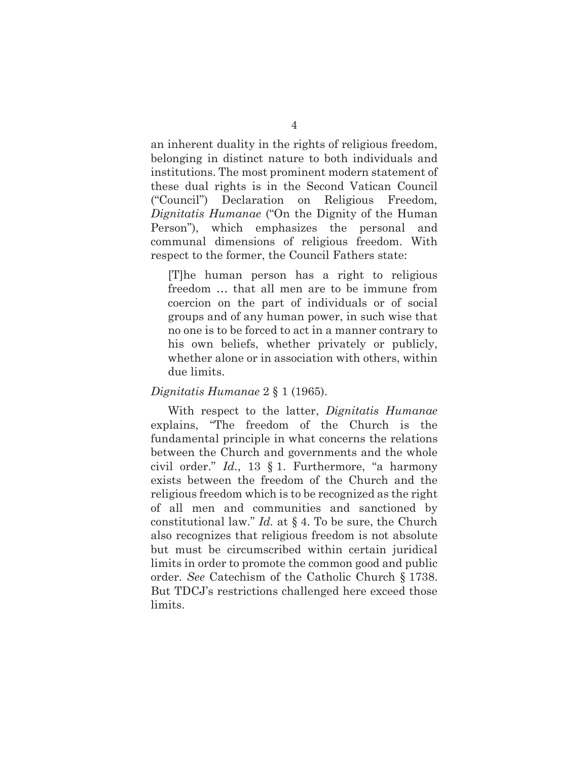an inherent duality in the rights of religious freedom, belonging in distinct nature to both individuals and institutions. The most prominent modern statement of these dual rights is in the Second Vatican Council ("Council") Declaration on Religious Freedom*, Dignitatis Humanae* ("On the Dignity of the Human Person"), which emphasizes the personal and communal dimensions of religious freedom. With respect to the former, the Council Fathers state:

[T]he human person has a right to religious freedom … that all men are to be immune from coercion on the part of individuals or of social groups and of any human power, in such wise that no one is to be forced to act in a manner contrary to his own beliefs, whether privately or publicly, whether alone or in association with others, within due limits.

## *Dignitatis Humanae* 2 § 1 (1965).

With respect to the latter, *Dignitatis Humanae* explains, "The freedom of the Church is the fundamental principle in what concerns the relations between the Church and governments and the whole civil order." *Id.*, 13 § 1. Furthermore, "a harmony exists between the freedom of the Church and the religious freedom which is to be recognized as the right of all men and communities and sanctioned by constitutional law." *Id.* at § 4. To be sure, the Church also recognizes that religious freedom is not absolute but must be circumscribed within certain juridical limits in order to promote the common good and public order. *See* Catechism of the Catholic Church § 1738. But TDCJ's restrictions challenged here exceed those limits.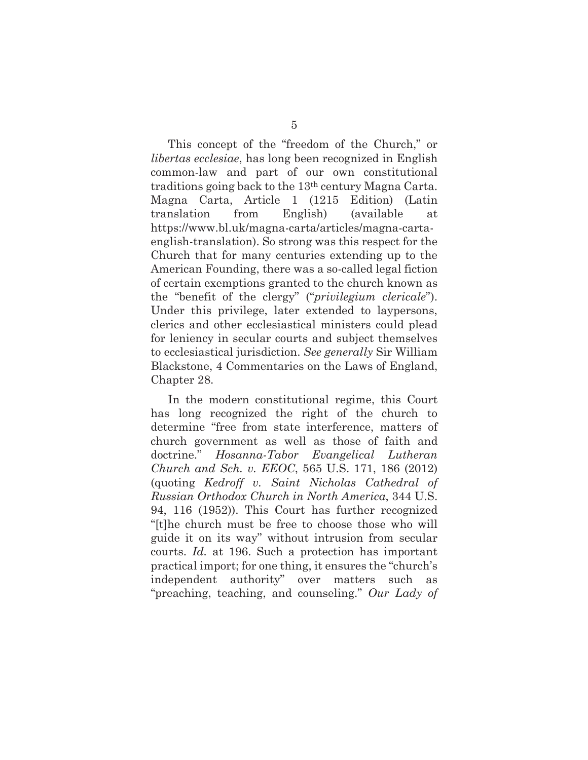This concept of the "freedom of the Church," or *libertas ecclesiae*, has long been recognized in English common-law and part of our own constitutional traditions going back to the 13th century Magna Carta. Magna Carta, Article 1 (1215 Edition) (Latin translation from English) (available at https://www.bl.uk/magna-carta/articles/magna-cartaenglish-translation). So strong was this respect for the Church that for many centuries extending up to the American Founding, there was a so-called legal fiction of certain exemptions granted to the church known as the "benefit of the clergy" ("*privilegium clericale*"). Under this privilege, later extended to laypersons, clerics and other ecclesiastical ministers could plead for leniency in secular courts and subject themselves to ecclesiastical jurisdiction. *See generally* Sir William Blackstone, 4 Commentaries on the Laws of England, Chapter 28.

In the modern constitutional regime, this Court has long recognized the right of the church to determine "free from state interference, matters of church government as well as those of faith and doctrine." *Hosanna-Tabor Evangelical Lutheran Church and Sch. v. EEOC*, 565 U.S. 171, 186 (2012) (quoting *Kedroff v. Saint Nicholas Cathedral of Russian Orthodox Church in North America*, 344 U.S. 94, 116 (1952)). This Court has further recognized "[t]he church must be free to choose those who will guide it on its way" without intrusion from secular courts. *Id.* at 196. Such a protection has important practical import; for one thing, it ensures the "church's independent authority" over matters such as "preaching, teaching, and counseling." *Our Lady of*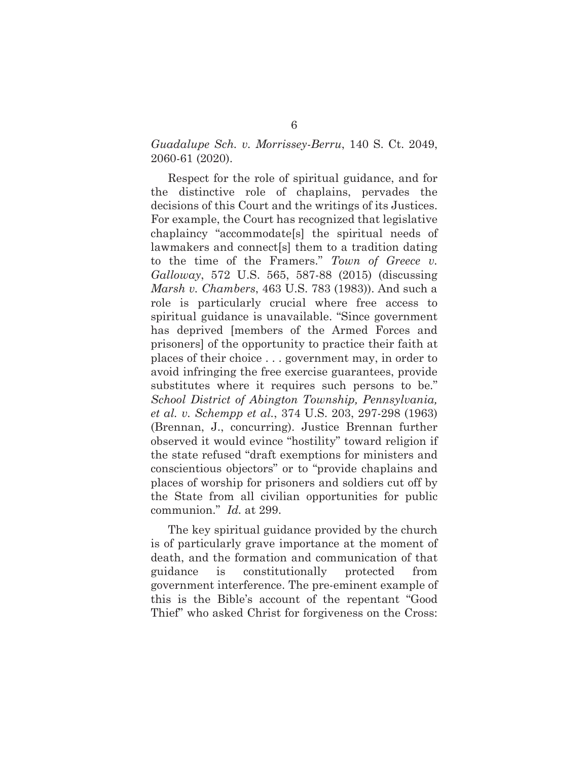## *Guadalupe Sch. v. Morrissey-Berru*, 140 S. Ct. 2049, 2060-61 (2020).

Respect for the role of spiritual guidance, and for the distinctive role of chaplains, pervades the decisions of this Court and the writings of its Justices. For example, the Court has recognized that legislative chaplaincy "accommodate[s] the spiritual needs of lawmakers and connect[s] them to a tradition dating to the time of the Framers." *Town of Greece v. Galloway*, 572 U.S. 565, 587-88 (2015) (discussing *Marsh v. Chambers*, 463 U.S. 783 (1983)). And such a role is particularly crucial where free access to spiritual guidance is unavailable. "Since government has deprived [members of the Armed Forces and prisoners] of the opportunity to practice their faith at places of their choice . . . government may, in order to avoid infringing the free exercise guarantees, provide substitutes where it requires such persons to be." *School District of Abington Township, Pennsylvania, et al. v. Schempp et al.*, 374 U.S. 203, 297-298 (1963) (Brennan, J., concurring). Justice Brennan further observed it would evince "hostility" toward religion if the state refused "draft exemptions for ministers and conscientious objectors" or to "provide chaplains and places of worship for prisoners and soldiers cut off by the State from all civilian opportunities for public communion." *Id.* at 299.

The key spiritual guidance provided by the church is of particularly grave importance at the moment of death, and the formation and communication of that guidance is constitutionally protected from government interference. The pre-eminent example of this is the Bible's account of the repentant "Good Thief" who asked Christ for forgiveness on the Cross: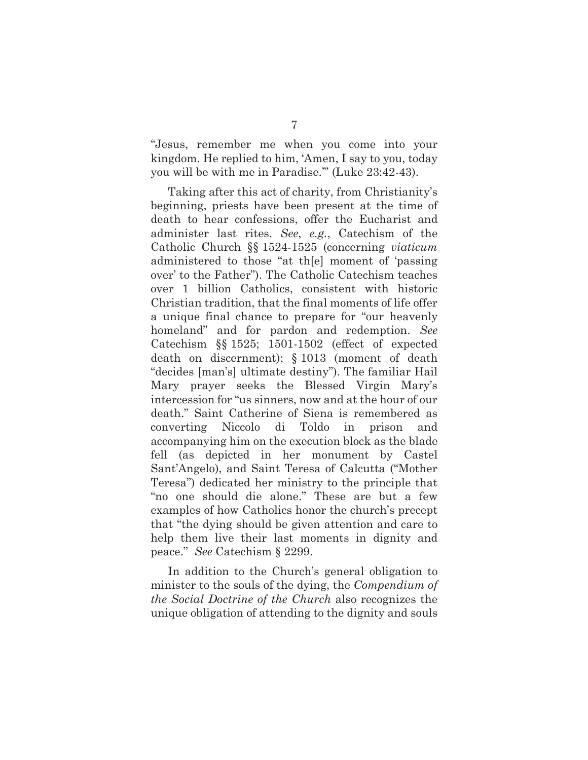"Jesus, remember me when you come into your kingdom. He replied to him, 'Amen, I say to you, today you will be with me in Paradise.'" (Luke 23:42-43).

Taking after this act of charity, from Christianity's beginning, priests have been present at the time of death to hear confessions, offer the Eucharist and administer last rites. *See*, *e.g.*, Catechism of the Catholic Church §§ 1524-1525 (concerning *viaticum*  administered to those "at th[e] moment of 'passing over' to the Father"). The Catholic Catechism teaches over 1 billion Catholics, consistent with historic Christian tradition, that the final moments of life offer a unique final chance to prepare for "our heavenly homeland" and for pardon and redemption. *See*  Catechism §§ 1525; 1501-1502 (effect of expected death on discernment); § 1013 (moment of death "decides [man's] ultimate destiny"). The familiar Hail Mary prayer seeks the Blessed Virgin Mary's intercession for "us sinners, now and at the hour of our death." Saint Catherine of Siena is remembered as converting Niccolo di Toldo in prison and accompanying him on the execution block as the blade fell (as depicted in her monument by Castel Sant'Angelo), and Saint Teresa of Calcutta ("Mother Teresa") dedicated her ministry to the principle that "no one should die alone." These are but a few examples of how Catholics honor the church's precept that "the dying should be given attention and care to help them live their last moments in dignity and peace." *See* Catechism § 2299.

In addition to the Church's general obligation to minister to the souls of the dying, the *Compendium of the Social Doctrine of the Church* also recognizes the unique obligation of attending to the dignity and souls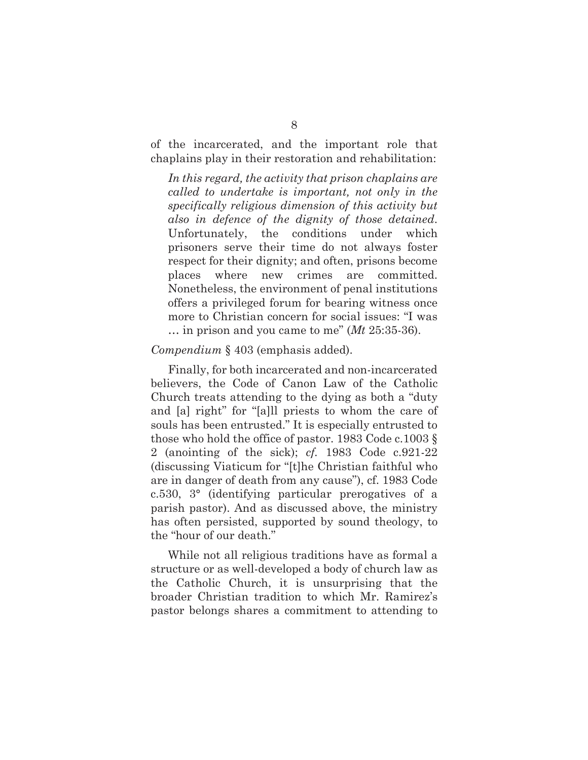of the incarcerated, and the important role that chaplains play in their restoration and rehabilitation:

*In this regard, the activity that prison chaplains are called to undertake is important, not only in the specifically religious dimension of this activity but also in defence of the dignity of those detained*. Unfortunately, the conditions under which prisoners serve their time do not always foster respect for their dignity; and often, prisons become places where new crimes are committed. Nonetheless, the environment of penal institutions offers a privileged forum for bearing witness once more to Christian concern for social issues: "I was … in prison and you came to me" (*Mt* 25:35-36).

#### *Compendium* § 403 (emphasis added).

Finally, for both incarcerated and non-incarcerated believers, the Code of Canon Law of the Catholic Church treats attending to the dying as both a "duty and [a] right" for "[a]ll priests to whom the care of souls has been entrusted." It is especially entrusted to those who hold the office of pastor. 1983 Code c.1003 § 2 (anointing of the sick); *cf.* 1983 Code c.921-22 (discussing Viaticum for "[t]he Christian faithful who are in danger of death from any cause"), cf. 1983 Code c.530, 3° (identifying particular prerogatives of a parish pastor). And as discussed above, the ministry has often persisted, supported by sound theology, to the "hour of our death."

While not all religious traditions have as formal a structure or as well-developed a body of church law as the Catholic Church, it is unsurprising that the broader Christian tradition to which Mr. Ramirez's pastor belongs shares a commitment to attending to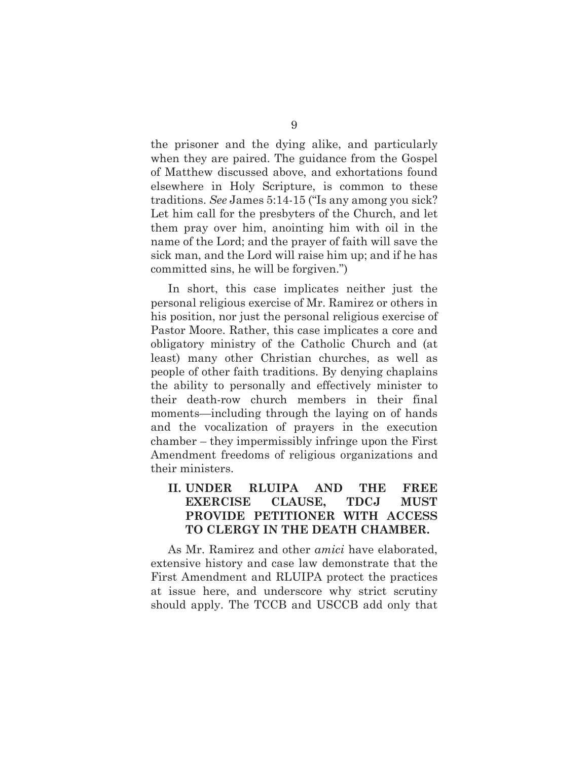the prisoner and the dying alike, and particularly when they are paired. The guidance from the Gospel of Matthew discussed above, and exhortations found elsewhere in Holy Scripture, is common to these traditions. *See* James 5:14-15 ("Is any among you sick? Let him call for the presbyters of the Church, and let them pray over him, anointing him with oil in the name of the Lord; and the prayer of faith will save the sick man, and the Lord will raise him up; and if he has committed sins, he will be forgiven.")

In short, this case implicates neither just the personal religious exercise of Mr. Ramirez or others in his position, nor just the personal religious exercise of Pastor Moore. Rather, this case implicates a core and obligatory ministry of the Catholic Church and (at least) many other Christian churches, as well as people of other faith traditions. By denying chaplains the ability to personally and effectively minister to their death-row church members in their final moments—including through the laying on of hands and the vocalization of prayers in the execution chamber – they impermissibly infringe upon the First Amendment freedoms of religious organizations and their ministers.

## **II. UNDER RLUIPA AND THE FREE EXERCISE CLAUSE, TDCJ MUST PROVIDE PETITIONER WITH ACCESS TO CLERGY IN THE DEATH CHAMBER.**

As Mr. Ramirez and other *amici* have elaborated, extensive history and case law demonstrate that the First Amendment and RLUIPA protect the practices at issue here, and underscore why strict scrutiny should apply. The TCCB and USCCB add only that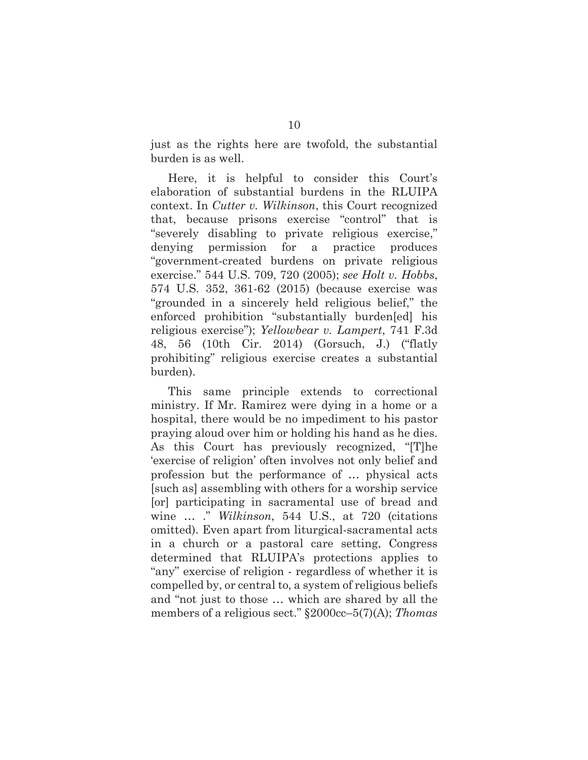just as the rights here are twofold, the substantial burden is as well.

Here, it is helpful to consider this Court's elaboration of substantial burdens in the RLUIPA context. In *Cutter v. Wilkinson*, this Court recognized that, because prisons exercise "control" that is "severely disabling to private religious exercise," denying permission for a practice produces "government-created burdens on private religious exercise." 544 U.S. 709, 720 (2005); *see Holt v. Hobbs*, 574 U.S. 352, 361-62 (2015) (because exercise was "grounded in a sincerely held religious belief," the enforced prohibition "substantially burden[ed] his religious exercise"); *Yellowbear v. Lampert*, 741 F.3d 48, 56 (10th Cir. 2014) (Gorsuch, J.) ("flatly prohibiting" religious exercise creates a substantial burden).

This same principle extends to correctional ministry. If Mr. Ramirez were dying in a home or a hospital, there would be no impediment to his pastor praying aloud over him or holding his hand as he dies. As this Court has previously recognized, "[T]he 'exercise of religion' often involves not only belief and profession but the performance of … physical acts [such as] assembling with others for a worship service [or] participating in sacramental use of bread and wine … ." *Wilkinson*, 544 U.S., at 720 (citations omitted). Even apart from liturgical-sacramental acts in a church or a pastoral care setting, Congress determined that RLUIPA's protections applies to "any" exercise of religion - regardless of whether it is compelled by, or central to, a system of religious beliefs and "not just to those … which are shared by all the members of a religious sect." §2000cc–5(7)(A); *Thomas*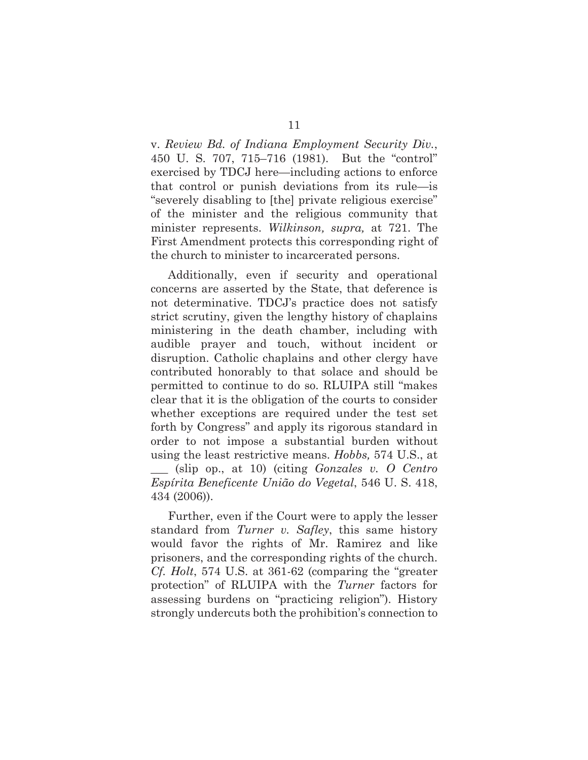v. *Review Bd. of Indiana Employment Security Div.*, 450 U. S. 707, 715–716 (1981). But the "control" exercised by TDCJ here—including actions to enforce that control or punish deviations from its rule—is "severely disabling to [the] private religious exercise" of the minister and the religious community that minister represents. *Wilkinson, supra,* at 721. The First Amendment protects this corresponding right of the church to minister to incarcerated persons.

Additionally, even if security and operational concerns are asserted by the State, that deference is not determinative. TDCJ's practice does not satisfy strict scrutiny, given the lengthy history of chaplains ministering in the death chamber, including with audible prayer and touch, without incident or disruption. Catholic chaplains and other clergy have contributed honorably to that solace and should be permitted to continue to do so. RLUIPA still "makes clear that it is the obligation of the courts to consider whether exceptions are required under the test set forth by Congress" and apply its rigorous standard in order to not impose a substantial burden without using the least restrictive means. *Hobbs,* 574 U.S., at \_\_\_ (slip op., at 10) (citing *Gonzales v. O Centro Espírita Beneficente União do Vegetal*, 546 U. S. 418, 434 (2006)).

Further, even if the Court were to apply the lesser standard from *Turner v. Safley*, this same history would favor the rights of Mr. Ramirez and like prisoners, and the corresponding rights of the church. *Cf. Holt*, 574 U.S. at 361-62 (comparing the "greater protection" of RLUIPA with the *Turner* factors for assessing burdens on "practicing religion"). History strongly undercuts both the prohibition's connection to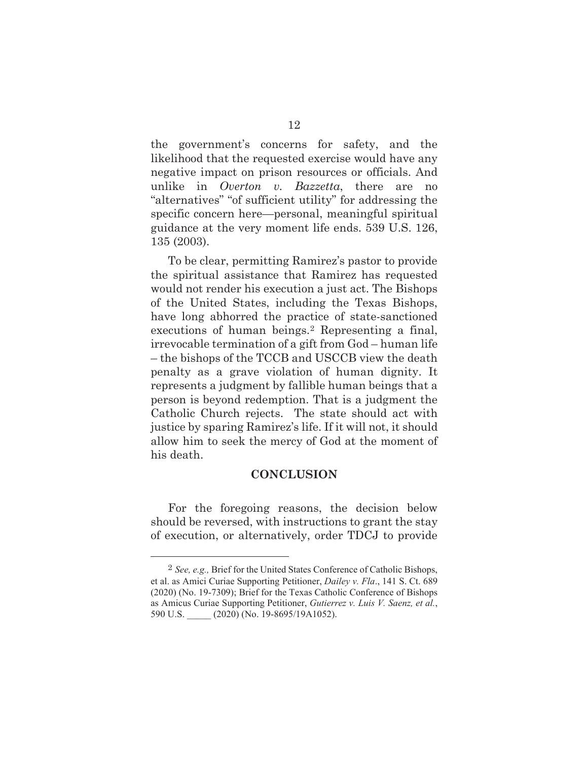the government's concerns for safety, and the likelihood that the requested exercise would have any negative impact on prison resources or officials. And unlike in *Overton v. Bazzetta*, there are no "alternatives" "of sufficient utility" for addressing the specific concern here—personal, meaningful spiritual guidance at the very moment life ends. 539 U.S. 126, 135 (2003).

To be clear, permitting Ramirez's pastor to provide the spiritual assistance that Ramirez has requested would not render his execution a just act. The Bishops of the United States, including the Texas Bishops, have long abhorred the practice of state-sanctioned executions of human beings.<sup>2</sup> Representing a final, irrevocable termination of a gift from God – human life – the bishops of the TCCB and USCCB view the death penalty as a grave violation of human dignity. It represents a judgment by fallible human beings that a person is beyond redemption. That is a judgment the Catholic Church rejects. The state should act with justice by sparing Ramirez's life. If it will not, it should allow him to seek the mercy of God at the moment of his death.

## **CONCLUSION**

For the foregoing reasons, the decision below should be reversed, with instructions to grant the stay of execution, or alternatively, order TDCJ to provide

<sup>&</sup>lt;sup>2</sup> See, e.g., Brief for the United States Conference of Catholic Bishops, et al. as Amici Curiae Supporting Petitioner, Dailey v. Fla., 141 S. Ct. 689  $(2020)$  (No. 19-7309); Brief for the Texas Catholic Conference of Bishops as Amicus Curiae Supporting Petitioner, Gutierrez v. Luis V. Saenz, et al., 590 U.S. \_\_\_\_\_ (2020) (No. 19-8695/19A1052).